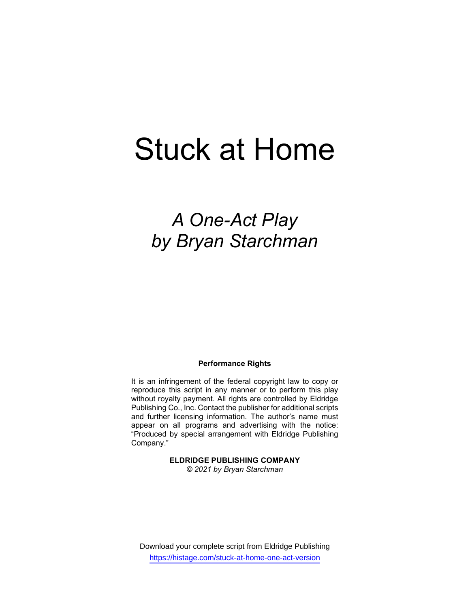# Stuck at Home

# A One-Act Play by Bryan Starchman

### Performance Rights

It is an infringement of the federal copyright law to copy or reproduce this script in any manner or to perform this play without royalty payment. All rights are controlled by Eldridge Publishing Co., Inc. Contact the publisher for additional scripts and further licensing information. The author's name must appear on all programs and advertising with the notice: "Produced by special arrangement with Eldridge Publishing Company."

# ELDRIDGE PUBLISHING COMPANY

© 2021 by Bryan Starchman

Download your complete script from Eldridge Publishing https://histage.com/stuck-at-home-one-act-version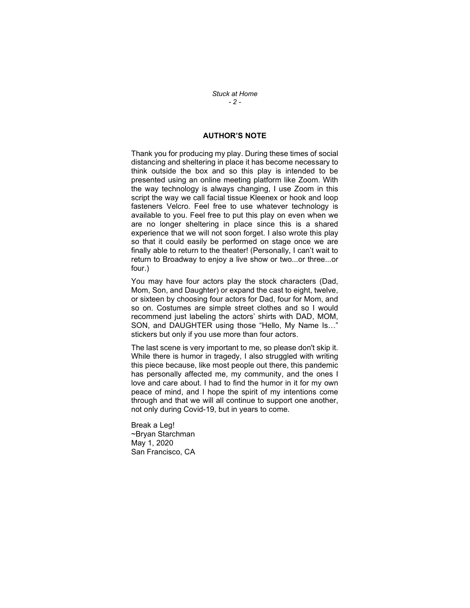Stuck at Home  $-2-$ 

## AUTHOR'S NOTE

Thank you for producing my play. During these times of social distancing and sheltering in place it has become necessary to think outside the box and so this play is intended to be presented using an online meeting platform like Zoom. With the way technology is always changing, I use Zoom in this script the way we call facial tissue Kleenex or hook and loop fasteners Velcro. Feel free to use whatever technology is available to you. Feel free to put this play on even when we are no longer sheltering in place since this is a shared experience that we will not soon forget. I also wrote this play so that it could easily be performed on stage once we are finally able to return to the theater! (Personally, I can't wait to return to Broadway to enjoy a live show or two...or three...or four.)

You may have four actors play the stock characters (Dad, Mom, Son, and Daughter) or expand the cast to eight, twelve, or sixteen by choosing four actors for Dad, four for Mom, and so on. Costumes are simple street clothes and so I would recommend just labeling the actors' shirts with DAD, MOM, SON, and DAUGHTER using those "Hello, My Name Is…" stickers but only if you use more than four actors.

The last scene is very important to me, so please don't skip it. While there is humor in tragedy, I also struggled with writing this piece because, like most people out there, this pandemic has personally affected me, my community, and the ones I love and care about. I had to find the humor in it for my own peace of mind, and I hope the spirit of my intentions come through and that we will all continue to support one another, not only during Covid-19, but in years to come.

Break a Leg! ~Bryan Starchman May 1, 2020 San Francisco, CA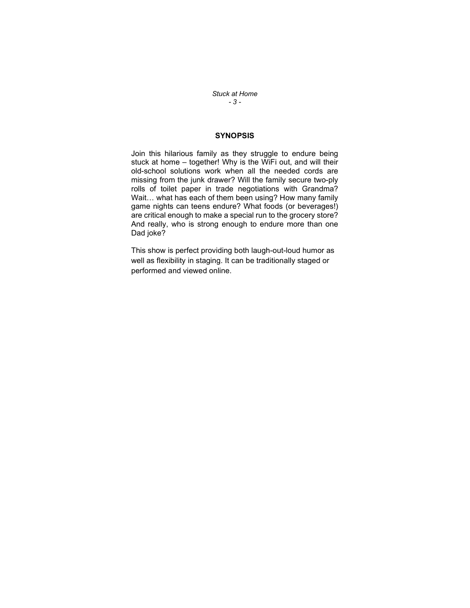Stuck at Home - 3 -

# **SYNOPSIS**

Join this hilarious family as they struggle to endure being stuck at home – together! Why is the WiFi out, and will their old-school solutions work when all the needed cords are missing from the junk drawer? Will the family secure two-ply rolls of toilet paper in trade negotiations with Grandma? Wait… what has each of them been using? How many family game nights can teens endure? What foods (or beverages!) are critical enough to make a special run to the grocery store? And really, who is strong enough to endure more than one Dad joke?

This show is perfect providing both laugh-out-loud humor as well as flexibility in staging. It can be traditionally staged or performed and viewed online.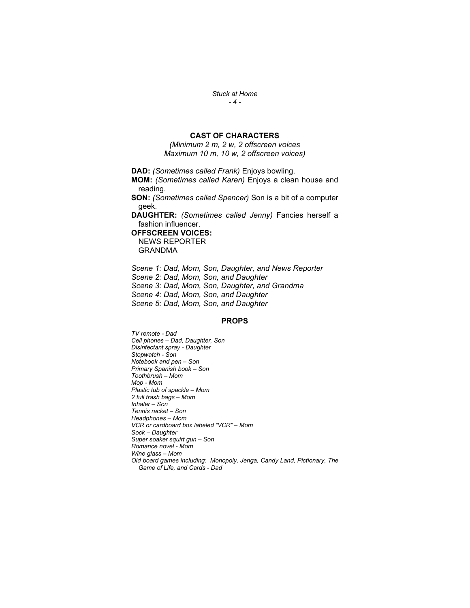Stuck at Home  $-4-$ 

# CAST OF CHARACTERS

(Minimum 2 m, 2 w, 2 offscreen voices Maximum 10 m, 10 w, 2 offscreen voices)

DAD: (Sometimes called Frank) Enjoys bowling.

MOM: (Sometimes called Karen) Enjoys a clean house and reading.

SON: (Sometimes called Spencer) Son is a bit of a computer geek.

DAUGHTER: (Sometimes called Jenny) Fancies herself a fashion influencer.

OFFSCREEN VOICES:

NEWS REPORTER GRANDMA

Scene 1: Dad, Mom, Son, Daughter, and News Reporter Scene 2: Dad, Mom, Son, and Daughter Scene 3: Dad, Mom, Son, Daughter, and Grandma Scene 4: Dad, Mom, Son, and Daughter Scene 5: Dad, Mom, Son, and Daughter

# PROPS

TV remote - Dad Cell phones – Dad, Daughter, Son Disinfectant spray - Daughter Stopwatch - Son Notebook and pen – Son Primary Spanish book – Son Toothbrush – Mom Mop - Mom Plastic tub of spackle – Mom 2 full trash bags – Mom Inhaler – Son Tennis racket – Son Headphones – Mom VCR or cardboard box labeled "VCR" – Mom Sock – Daughter Super soaker squirt gun – Son Romance novel - Mom Wine glass – Mom Old board games including: Monopoly, Jenga, Candy Land, Pictionary, The Game of Life, and Cards - Dad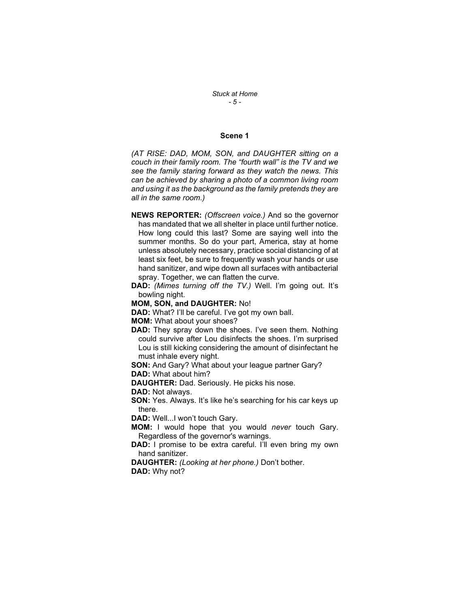#### Scene 1

(AT RISE: DAD, MOM, SON, and DAUGHTER sitting on a couch in their family room. The "fourth wall" is the TV and we see the family staring forward as they watch the news. This can be achieved by sharing a photo of a common living room and using it as the background as the family pretends they are all in the same room.)

- NEWS REPORTER: (Offscreen voice.) And so the governor has mandated that we all shelter in place until further notice. How long could this last? Some are saying well into the summer months. So do your part, America, stay at home unless absolutely necessary, practice social distancing of at least six feet, be sure to frequently wash your hands or use hand sanitizer, and wipe down all surfaces with antibacterial spray. Together, we can flatten the curve.
- DAD: (Mimes turning off the TV.) Well. I'm going out. It's bowling night.

MOM, SON, and DAUGHTER: No!

DAD: What? I'll be careful. I've got my own ball.

MOM: What about your shoes?

DAD: They spray down the shoes. I've seen them. Nothing could survive after Lou disinfects the shoes. I'm surprised Lou is still kicking considering the amount of disinfectant he must inhale every night.

SON: And Gary? What about your league partner Gary? DAD: What about him?

DAUGHTER: Dad. Seriously. He picks his nose.

DAD: Not always.

SON: Yes. Always. It's like he's searching for his car keys up there.

DAD: Well...I won't touch Gary.

- **MOM:** I would hope that you would never touch Gary. Regardless of the governor's warnings.
- DAD: I promise to be extra careful. I'll even bring my own hand sanitizer.

DAUGHTER: (Looking at her phone.) Don't bother. DAD: Why not?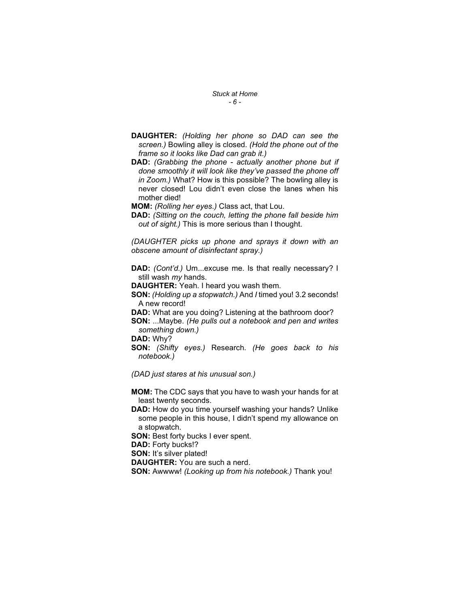#### Stuck at Home - 6 -

- DAUGHTER: (Holding her phone so DAD can see the screen.) Bowling alley is closed. (Hold the phone out of the frame so it looks like Dad can grab it.)
- DAD: (Grabbing the phone actually another phone but if done smoothly it will look like they've passed the phone off in Zoom.) What? How is this possible? The bowling alley is never closed! Lou didn't even close the lanes when his mother died!

MOM: (Rolling her eyes.) Class act, that Lou.

DAD: (Sitting on the couch, letting the phone fall beside him out of sight.) This is more serious than I thought.

(DAUGHTER picks up phone and sprays it down with an obscene amount of disinfectant spray.)

DAD: (Cont'd.) Um...excuse me. Is that really necessary? I still wash my hands.

DAUGHTER: Yeah. I heard you wash them.

SON: (Holding up a stopwatch.) And I timed you! 3.2 seconds! A new record!

DAD: What are you doing? Listening at the bathroom door?

SON: ...Maybe. (He pulls out a notebook and pen and writes something down.)

DAD: Why?

SON: (Shifty eyes.) Research. (He goes back to his notebook.)

(DAD just stares at his unusual son.)

MOM: The CDC says that you have to wash your hands for at least twenty seconds.

DAD: How do you time yourself washing your hands? Unlike some people in this house, I didn't spend my allowance on a stopwatch.

SON: Best forty bucks I ever spent.

DAD: Forty bucks!?

SON: It's silver plated!

DAUGHTER: You are such a nerd.

SON: Awwww! (Looking up from his notebook.) Thank you!